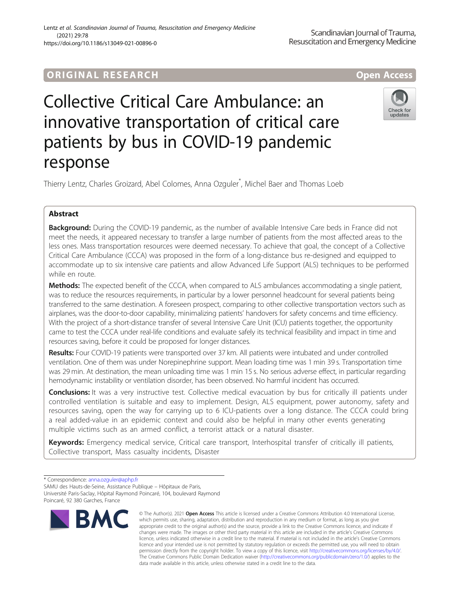# ORIGINA L R E S EA RCH Open Access

Check for undates

# Collective Critical Care Ambulance: an innovative transportation of critical care patients by bus in COVID-19 pandemic response

Thierry Lentz, Charles Groizard, Abel Colomes, Anna Ozguler\* , Michel Baer and Thomas Loeb

## Abstract

Background: During the COVID-19 pandemic, as the number of available Intensive Care beds in France did not meet the needs, it appeared necessary to transfer a large number of patients from the most affected areas to the less ones. Mass transportation resources were deemed necessary. To achieve that goal, the concept of a Collective Critical Care Ambulance (CCCA) was proposed in the form of a long-distance bus re-designed and equipped to accommodate up to six intensive care patients and allow Advanced Life Support (ALS) techniques to be performed while en route.

Methods: The expected benefit of the CCCA, when compared to ALS ambulances accommodating a single patient, was to reduce the resources requirements, in particular by a lower personnel headcount for several patients being transferred to the same destination. A foreseen prospect, comparing to other collective transportation vectors such as airplanes, was the door-to-door capability, minimalizing patients' handovers for safety concerns and time efficiency. With the project of a short-distance transfer of several Intensive Care Unit (ICU) patients together, the opportunity came to test the CCCA under real-life conditions and evaluate safely its technical feasibility and impact in time and resources saving, before it could be proposed for longer distances.

Results: Four COVID-19 patients were transported over 37 km. All patients were intubated and under controlled ventilation. One of them was under Norepinephrine support. Mean loading time was 1 min 39 s. Transportation time was 29 min. At destination, the mean unloading time was 1 min 15 s. No serious adverse effect, in particular regarding hemodynamic instability or ventilation disorder, has been observed. No harmful incident has occurred.

**Conclusions:** It was a very instructive test. Collective medical evacuation by bus for critically ill patients under controlled ventilation is suitable and easy to implement. Design, ALS equipment, power autonomy, safety and resources saving, open the way for carrying up to 6 ICU-patients over a long distance. The CCCA could bring a real added-value in an epidemic context and could also be helpful in many other events generating multiple victims such as an armed conflict, a terrorist attack or a natural disaster.

Keywords: Emergency medical service, Critical care transport, Interhospital transfer of critically ill patients, Collective transport, Mass casualty incidents, Disaster

<sup>\*</sup> Correspondence: [anna.ozguler@aphp.fr](mailto:anna.ozguler@aphp.fr) SAMU des Hauts-de-Seine, Assistance Publique – Hôpitaux de Paris, Université Paris-Saclay, Hôpital Raymond Poincaré, 104, boulevard Raymond Poincaré, 92 380 Garches, France



<sup>©</sup> The Author(s), 2021 **Open Access** This article is licensed under a Creative Commons Attribution 4.0 International License, which permits use, sharing, adaptation, distribution and reproduction in any medium or format, as long as you give appropriate credit to the original author(s) and the source, provide a link to the Creative Commons licence, and indicate if changes were made. The images or other third party material in this article are included in the article's Creative Commons licence, unless indicated otherwise in a credit line to the material. If material is not included in the article's Creative Commons licence and your intended use is not permitted by statutory regulation or exceeds the permitted use, you will need to obtain permission directly from the copyright holder. To view a copy of this licence, visit [http://creativecommons.org/licenses/by/4.0/.](http://creativecommons.org/licenses/by/4.0/) The Creative Commons Public Domain Dedication waiver [\(http://creativecommons.org/publicdomain/zero/1.0/](http://creativecommons.org/publicdomain/zero/1.0/)) applies to the data made available in this article, unless otherwise stated in a credit line to the data.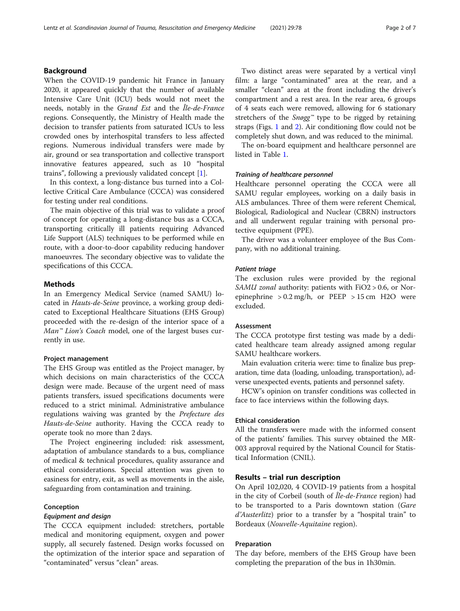#### Background

When the COVID-19 pandemic hit France in January 2020, it appeared quickly that the number of available Intensive Care Unit (ICU) beds would not meet the needs, notably in the Grand Est and the Île-de-France regions. Consequently, the Ministry of Health made the decision to transfer patients from saturated ICUs to less crowded ones by interhospital transfers to less affected regions. Numerous individual transfers were made by air, ground or sea transportation and collective transport innovative features appeared, such as 10 "hospital trains", following a previously validated concept [\[1](#page-5-0)].

In this context, a long-distance bus turned into a Collective Critical Care Ambulance (CCCA) was considered for testing under real conditions.

The main objective of this trial was to validate a proof of concept for operating a long-distance bus as a CCCA, transporting critically ill patients requiring Advanced Life Support (ALS) techniques to be performed while en route, with a door-to-door capability reducing handover manoeuvres. The secondary objective was to validate the specifications of this CCCA.

#### **Methods**

In an Emergency Medical Service (named SAMU) located in Hauts-de-Seine province, a working group dedicated to Exceptional Healthcare Situations (EHS Group) proceeded with the re-design of the interior space of a Man<sup>™</sup> Lion's Coach model, one of the largest buses currently in use.

#### Project management

The EHS Group was entitled as the Project manager, by which decisions on main characteristics of the CCCA design were made. Because of the urgent need of mass patients transfers, issued specifications documents were reduced to a strict minimal. Administrative ambulance regulations waiving was granted by the Prefecture des Hauts-de-Seine authority. Having the CCCA ready to operate took no more than 2 days.

The Project engineering included: risk assessment, adaptation of ambulance standards to a bus, compliance of medical & technical procedures, quality assurance and ethical considerations. Special attention was given to easiness for entry, exit, as well as movements in the aisle, safeguarding from contamination and training.

#### Conception

#### Equipment and design

The CCCA equipment included: stretchers, portable medical and monitoring equipment, oxygen and power supply, all securely fastened. Design works focussed on the optimization of the interior space and separation of "contaminated" versus "clean" areas.

Two distinct areas were separated by a vertical vinyl film: a large "contaminated" area at the rear, and a smaller "clean" area at the front including the driver's compartment and a rest area. In the rear area, 6 groups of 4 seats each were removed, allowing for 6 stationary stretchers of the  $Snøgg^m$  type to be rigged by retaining straps (Figs. [1](#page-2-0) and [2](#page-2-0)). Air conditioning flow could not be completely shut down, and was reduced to the minimal.

The on-board equipment and healthcare personnel are listed in Table [1](#page-3-0).

#### Training of healthcare personnel

Healthcare personnel operating the CCCA were all SAMU regular employees, working on a daily basis in ALS ambulances. Three of them were referent Chemical, Biological, Radiological and Nuclear (CBRN) instructors and all underwent regular training with personal protective equipment (PPE).

The driver was a volunteer employee of the Bus Company, with no additional training.

#### Patient triage

The exclusion rules were provided by the regional SAMU zonal authority: patients with FiO2 > 0.6, or Norepinephrine  $> 0.2$  mg/h, or PEEP  $> 15$  cm H2O were excluded.

#### Assessment

The CCCA prototype first testing was made by a dedicated healthcare team already assigned among regular SAMU healthcare workers.

Main evaluation criteria were: time to finalize bus preparation, time data (loading, unloading, transportation), adverse unexpected events, patients and personnel safety.

HCW's opinion on transfer conditions was collected in face to face interviews within the following days.

#### Ethical consideration

All the transfers were made with the informed consent of the patients' families. This survey obtained the MR-003 approval required by the National Council for Statistical Information (CNIL).

#### Results – trial run description

On April 102,020, 4 COVID-19 patients from a hospital in the city of Corbeil (south of Île-de-France region) had to be transported to a Paris downtown station (Gare d'Austerlitz) prior to a transfer by a "hospital train" to Bordeaux (Nouvelle-Aquitaine region).

#### Preparation

The day before, members of the EHS Group have been completing the preparation of the bus in 1h30min.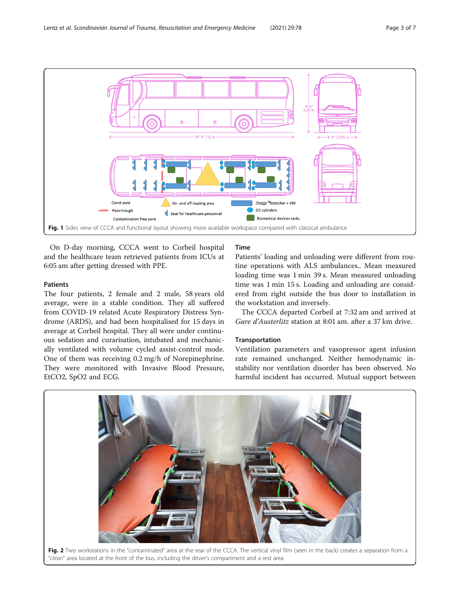

<span id="page-2-0"></span>

On D-day morning, CCCA went to Corbeil hospital and the healthcare team retrieved patients from ICUs at 6:05 am after getting dressed with PPE.

#### Patients

The four patients, 2 female and 2 male, 58 years old average, were in a stable condition. They all suffered from COVID-19 related Acute Respiratory Distress Syndrome (ARDS), and had been hospitalised for 15 days in average at Corbeil hospital. They all were under continuous sedation and curarisation, intubated and mechanically ventilated with volume cycled assist-control mode. One of them was receiving 0.2 mg/h of Norepinephrine. They were monitored with Invasive Blood Pressure, EtCO2, SpO2 and ECG.

### Time

Patients' loading and unloading were different from routine operations with ALS ambulances.. Mean measured loading time was 1 min 39 s. Mean measured unloading time was 1 min 15 s. Loading and unloading are considered from right outside the bus door to installation in the workstation and inversely.

The CCCA departed Corbeil at 7:32 am and arrived at Gare d'Austerlitz station at 8:01 am. after a 37 km drive.

#### Transportation

Ventilation parameters and vasopressor agent infusion rate remained unchanged. Neither hemodynamic instability nor ventilation disorder has been observed. No harmful incident has occurred. Mutual support between

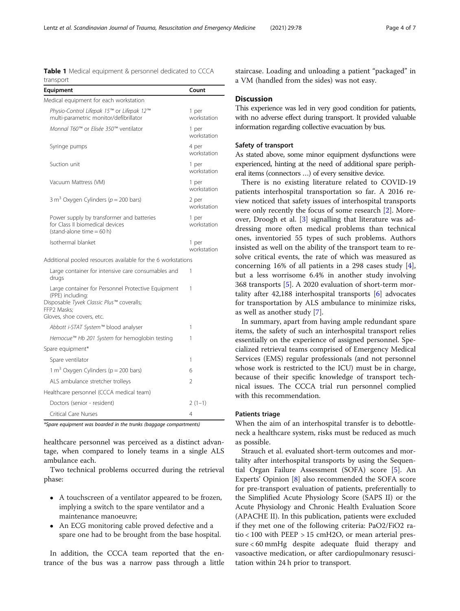<span id="page-3-0"></span>Table 1 Medical equipment & personnel dedicated to CCCA transport

| Equipment                                                                                                                                                       | Count                |
|-----------------------------------------------------------------------------------------------------------------------------------------------------------------|----------------------|
| Medical equipment for each workstation                                                                                                                          |                      |
| Physio-Control Lifepak 15™ or Lifepak 12™<br>multi-parametric monitor/defibrillator                                                                             | 1 per<br>workstation |
| Monnal T60™ or Elisée 350™ ventilator                                                                                                                           | 1 per<br>workstation |
| Syringe pumps                                                                                                                                                   | 4 per<br>workstation |
| Suction unit                                                                                                                                                    | 1 per<br>workstation |
| Vacuum Mattress (VM)                                                                                                                                            | 1 per<br>workstation |
| 3 m <sup>3</sup> Oxygen Cylinders ( $p = 200$ bars)                                                                                                             | 2 per<br>workstation |
| Power supply by transformer and batteries<br>for Class II biomedical devices<br>$(statand-alone time = 60 h)$                                                   | 1 per<br>workstation |
| Isothermal blanket                                                                                                                                              | 1 per<br>workstation |
| Additional pooled resources available for the 6 workstations                                                                                                    |                      |
| Large container for intensive care consumables and<br>drugs                                                                                                     | 1                    |
| Large container for Personnel Protective Equipment<br>(PPE) including:<br>Disposable Tyvek Classic Plus™ coveralls;<br>FFP2 Masks;<br>Gloves, shoe covers, etc. | 1                    |
| Abbott i-STAT System™ blood analyser                                                                                                                            | 1                    |
| Hemocue™ Hb 201 System for hemoglobin testing                                                                                                                   | 1                    |
| Spare equipment*                                                                                                                                                |                      |
| Spare ventilator                                                                                                                                                | 1                    |
| 1 m <sup>3</sup> Oxygen Cylinders ( $p = 200$ bars)                                                                                                             | 6                    |
| ALS ambulance stretcher trolleys                                                                                                                                | $\overline{2}$       |
| Healthcare personnel (CCCA medical team)                                                                                                                        |                      |
| Doctors (senior - resident)                                                                                                                                     | $2(1-1)$             |
| Critical Care Nurses                                                                                                                                            | 4                    |

\*Spare equipment was boarded in the trunks (baggage compartments)

healthcare personnel was perceived as a distinct advantage, when compared to lonely teams in a single ALS ambulance each.

Two technical problems occurred during the retrieval phase:

- A touchscreen of a ventilator appeared to be frozen, implying a switch to the spare ventilator and a maintenance manoeuvre;
- An ECG monitoring cable proved defective and a spare one had to be brought from the base hospital.

In addition, the CCCA team reported that the entrance of the bus was a narrow pass through a little staircase. Loading and unloading a patient "packaged" in a VM (handled from the sides) was not easy.

#### **Discussion**

This experience was led in very good condition for patients, with no adverse effect during transport. It provided valuable information regarding collective evacuation by bus.

#### Safety of transport

As stated above, some minor equipment dysfunctions were experienced, hinting at the need of additional spare peripheral items (connectors …) of every sensitive device.

There is no existing literature related to COVID-19 patients interhospital transportation so far. A 2016 review noticed that safety issues of interhospital transports were only recently the focus of some research [\[2](#page-5-0)]. Moreover, Droogh et al. [[3\]](#page-5-0) signalling that literature was addressing more often medical problems than technical ones, inventoried 55 types of such problems. Authors insisted as well on the ability of the transport team to resolve critical events, the rate of which was measured as concerning 16% of all patients in a 298 cases study [\[4](#page-5-0)], but a less worrisome 6.4% in another study involving 368 transports [[5\]](#page-5-0). A 2020 evaluation of short-term mortality after 42,188 interhospital transports [[6\]](#page-6-0) advocates for transportation by ALS ambulance to minimize risks, as well as another study [[7\]](#page-6-0).

In summary, apart from having ample redundant spare items, the safety of such an interhospital transport relies essentially on the experience of assigned personnel. Specialized retrieval teams comprised of Emergency Medical Services (EMS) regular professionals (and not personnel whose work is restricted to the ICU) must be in charge, because of their specific knowledge of transport technical issues. The CCCA trial run personnel complied with this recommendation.

#### Patients triage

When the aim of an interhospital transfer is to debottleneck a healthcare system, risks must be reduced as much as possible.

Strauch et al. evaluated short-term outcomes and mortality after interhospital transports by using the Sequential Organ Failure Assessment (SOFA) score [\[5\]](#page-5-0). An Experts' Opinion [[8\]](#page-6-0) also recommended the SOFA score for pre-transport evaluation of patients, preferentially to the Simplified Acute Physiology Score (SAPS II) or the Acute Physiology and Chronic Health Evaluation Score (APACHE II). In this publication, patients were excluded if they met one of the following criteria: PaO2/FiO2 ratio < 100 with PEEP > 15 cmH2O, or mean arterial pressure < 60 mmHg despite adequate fluid therapy and vasoactive medication, or after cardiopulmonary resuscitation within 24 h prior to transport.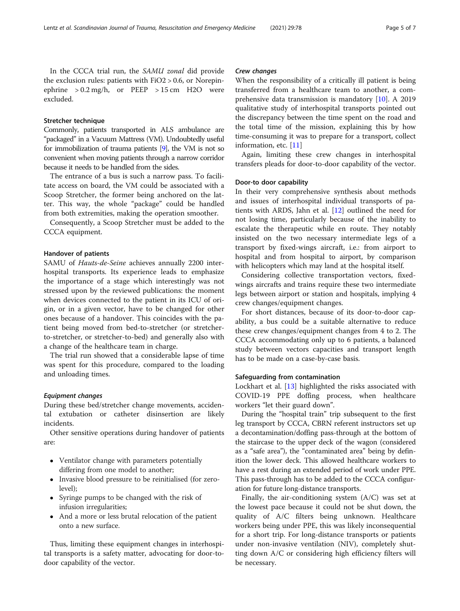In the CCCA trial run, the SAMU zonal did provide the exclusion rules: patients with FiO2 > 0.6, or Norepinephrine  $> 0.2$  mg/h, or PEEP  $> 15$  cm H2O were excluded.

#### Stretcher technique

Commonly, patients transported in ALS ambulance are "packaged" in a Vacuum Mattress (VM). Undoubtedly useful for immobilization of trauma patients [[9](#page-6-0)], the VM is not so convenient when moving patients through a narrow corridor because it needs to be handled from the sides.

The entrance of a bus is such a narrow pass. To facilitate access on board, the VM could be associated with a Scoop Stretcher, the former being anchored on the latter. This way, the whole "package" could be handled from both extremities, making the operation smoother.

Consequently, a Scoop Stretcher must be added to the CCCA equipment.

#### Handover of patients

SAMU of Hauts-de-Seine achieves annually 2200 interhospital transports. Its experience leads to emphasize the importance of a stage which interestingly was not stressed upon by the reviewed publications: the moment when devices connected to the patient in its ICU of origin, or in a given vector, have to be changed for other ones because of a handover. This coincides with the patient being moved from bed-to-stretcher (or stretcherto-stretcher, or stretcher-to-bed) and generally also with a change of the healthcare team in charge.

The trial run showed that a considerable lapse of time was spent for this procedure, compared to the loading and unloading times.

#### Equipment changes

During these bed/stretcher change movements, accidental extubation or catheter disinsertion are likely incidents.

Other sensitive operations during handover of patients are:

- Ventilator change with parameters potentially differing from one model to another;
- Invasive blood pressure to be reinitialised (for zerolevel);
- Syringe pumps to be changed with the risk of infusion irregularities;
- And a more or less brutal relocation of the patient onto a new surface.

Thus, limiting these equipment changes in interhospital transports is a safety matter, advocating for door-todoor capability of the vector.

#### Crew changes

When the responsibility of a critically ill patient is being transferred from a healthcare team to another, a comprehensive data transmission is mandatory [\[10](#page-6-0)]. A 2019 qualitative study of interhospital transports pointed out the discrepancy between the time spent on the road and the total time of the mission, explaining this by how time-consuming it was to prepare for a transport, collect information, etc. [\[11](#page-6-0)]

Again, limiting these crew changes in interhospital transfers pleads for door-to-door capability of the vector.

#### Door-to door capability

In their very comprehensive synthesis about methods and issues of interhospital individual transports of patients with ARDS, Jahn et al. [[12\]](#page-6-0) outlined the need for not losing time, particularly because of the inability to escalate the therapeutic while en route. They notably insisted on the two necessary intermediate legs of a transport by fixed-wings aircraft, i.e.: from airport to hospital and from hospital to airport, by comparison with helicopters which may land at the hospital itself.

Considering collective transportation vectors, fixedwings aircrafts and trains require these two intermediate legs between airport or station and hospitals, implying 4 crew changes/equipment changes.

For short distances, because of its door-to-door capability, a bus could be a suitable alternative to reduce these crew changes/equipment changes from 4 to 2. The CCCA accommodating only up to 6 patients, a balanced study between vectors capacities and transport length has to be made on a case-by-case basis.

#### Safeguarding from contamination

Lockhart et al. [[13](#page-6-0)] highlighted the risks associated with COVID-19 PPE doffing process, when healthcare workers "let their guard down".

During the "hospital train" trip subsequent to the first leg transport by CCCA, CBRN referent instructors set up a decontamination/doffing pass-through at the bottom of the staircase to the upper deck of the wagon (considered as a "safe area"), the "contaminated area" being by definition the lower deck. This allowed healthcare workers to have a rest during an extended period of work under PPE. This pass-through has to be added to the CCCA configuration for future long-distance transports.

Finally, the air-conditioning system  $(A/C)$  was set at the lowest pace because it could not be shut down, the quality of A/C filters being unknown. Healthcare workers being under PPE, this was likely inconsequential for a short trip. For long-distance transports or patients under non-invasive ventilation (NIV), completely shutting down A/C or considering high efficiency filters will be necessary.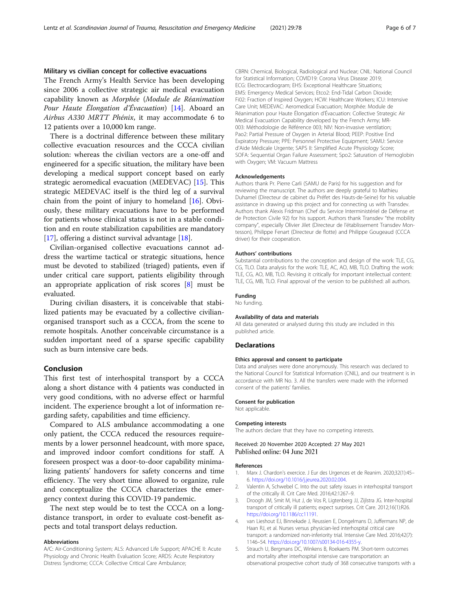#### <span id="page-5-0"></span>Military vs civilian concept for collective evacuations

The French Army's Health Service has been developing since 2006 a collective strategic air medical evacuation capability known as Morphée (Module de Réanimation Pour Haute Élongation d'Évacuation) [[14](#page-6-0)]. Aboard an Airbus A330 MRTT Phénix, it may accommodate 6 to 12 patients over a 10,000 km range.

There is a doctrinal difference between these military collective evacuation resources and the CCCA civilian solution: whereas the civilian vectors are a one-off and engineered for a specific situation, the military have been developing a medical support concept based on early strategic aeromedical evacuation (MEDEVAC) [[15\]](#page-6-0). This strategic MEDEVAC itself is the third leg of a survival chain from the point of injury to homeland [\[16\]](#page-6-0). Obviously, these military evacuations have to be performed for patients whose clinical status is not in a stable condition and en route stabilization capabilities are mandatory [[17\]](#page-6-0), offering a distinct survival advantage [[18\]](#page-6-0).

Civilian-organised collective evacuations cannot address the wartime tactical or strategic situations, hence must be devoted to stabilized (triaged) patients, even if under critical care support, patients eligibility through an appropriate application of risk scores [[8\]](#page-6-0) must be evaluated.

During civilian disasters, it is conceivable that stabilized patients may be evacuated by a collective civilianorganised transport such as a CCCA, from the scene to remote hospitals. Another conceivable circumstance is a sudden important need of a sparse specific capability such as burn intensive care beds.

#### Conclusion

This first test of interhospital transport by a CCCA along a short distance with 4 patients was conducted in very good conditions, with no adverse effect or harmful incident. The experience brought a lot of information regarding safety, capabilities and time efficiency.

Compared to ALS ambulance accommodating a one only patient, the CCCA reduced the resources requirements by a lower personnel headcount, with more space, and improved indoor comfort conditions for staff. A foreseen prospect was a door-to-door capability minimalizing patients' handovers for safety concerns and time efficiency. The very short time allowed to organize, rule and conceptualize the CCCA characterizes the emergency context during this COVID-19 pandemic.

The next step would be to test the CCCA on a longdistance transport, in order to evaluate cost-benefit aspects and total transport delays reduction.

#### Abbreviations

A/C: Air-Conditioning System; ALS: Advanced Life Support; APACHE II: Acute Physiology and Chronic Health Evaluation Score; ARDS: Acute Respiratory Distress Syndrome; CCCA: Collective Critical Care Ambulance;

CBRN: Chemical, Biological, Radiological and Nuclear; CNIL: National Council for Statistical Information; COVID19: Corona Virus Disease 2019; ECG: Electrocardiogram; EHS: Exceptional Healthcare Situations; EMS: Emergency Medical Services; Etco2: End-Tidal Carbon Dioxide; Fi02: Fraction of Inspired Oxygen; HCW: Healthcare Workers; ICU: Intensive Care Unit; MEDEVAC: Aeromedical Evacuation; Morphée: Module de Réanimation pour Haute Élongation d'Évacuation: Collective Strategic Air Medical Evacuation Capability developed by the French Army; MR-003: Méthodologie de Référence 003; NIV: Non-invasive ventilation; Pao2: Partial Pressure of Oxygen in Arterial Blood; PEEP: Positive End Expiratory Pressure; PPE: Personnel Protective Equipment; SAMU: Service d'Aide Médicale Urgente; SAPS II: Simplified Acute Physiology Score; SOFA: Sequential Organ Failure Assessment; Spo2: Saturation of Hemoglobin with Oxygen; VM: Vacuum Mattress

#### Acknowledgements

Authors thank Pr. Pierre Carli (SAMU de Paris) for his suggestion and for reviewing the manuscript. The authors are deeply grateful to Mathieu Duhamel (Directeur de cabinet du Préfet des Hauts-de-Seine) for his valuable assistance in drawing up this project and for connecting us with Transdev. Authors thank Alexis Fridman (Chef du Service Interministériel de Défense et de Protection Civile 92) for his support. Authors thank Transdev "the mobility company", especially Olivier Jilet (Directeur de l'établissement Transdev Montesson), Philippe Fenart (Directeur de flotte) and Philippe Gougeaud (CCCA driver) for their cooperation.

#### Authors' contributions

Substantial contributions to the conception and design of the work: TLE, CG, CG, TLO. Data analysis for the work: TLE, AC, AO, MB, TLO. Drafting the work: TLE, CG, AO, MB, TLO. Revising it critically for important intellectual content: TLE, CG, MB, TLO. Final approval of the version to be published: all authors.

#### Funding

No funding.

#### Availability of data and materials

All data generated or analysed during this study are included in this published article.

#### **Declarations**

#### Ethics approval and consent to participate

Data and analyses were done anonymously. This research was declared to the National Council for Statistical Information (CNIL), and our treatment is in accordance with MR No. 3. All the transfers were made with the informed consent of the patients' families.

#### Consent for publication

Not applicable.

#### Competing interests

The authors declare that they have no competing interests.

#### Received: 20 November 2020 Accepted: 27 May 2021 Published online: 04 June 2021

#### References

- 1. Marx J. Chardon's exercice. J Eur des Urgences et de Reanim. 2020;32(1):45– 6. [https://doi.org/10.1016/j.jeurea.2020.02.004.](https://doi.org/10.1016/j.jeurea.2020.02.004)
- 2. Valentin A, Schwebel C. Into the out: safety issues in interhospital transport of the critically ill. Crit Care Med. 2016;42:1267–9.
- Droogh JM, Smit M, Hut J, de Vos R, Ligtenberg JJ, Zijlstra JG. Inter-hospital transport of critically ill patients; expect surprises. Crit Care. 2012;16(1):R26. <https://doi.org/10.1186/cc11191>.
- 4. van Lieshout EJ, Binnekade J, Reussien E, Dongelmans D, Juffermans NP, de Haan RJ, et al. Nurses versus physician-led interhospital critical care transport: a randomized non-inferiority trial. Intensive Care Med. 2016;42(7): 1146–54. <https://doi.org/10.1007/s00134-016-4355-y>.
- Strauch U, Bergmans DC, Winkens B, Roekaerts PM. Short-term outcomes and mortality after interhospital intensive care transportation: an observational prospective cohort study of 368 consecutive transports with a